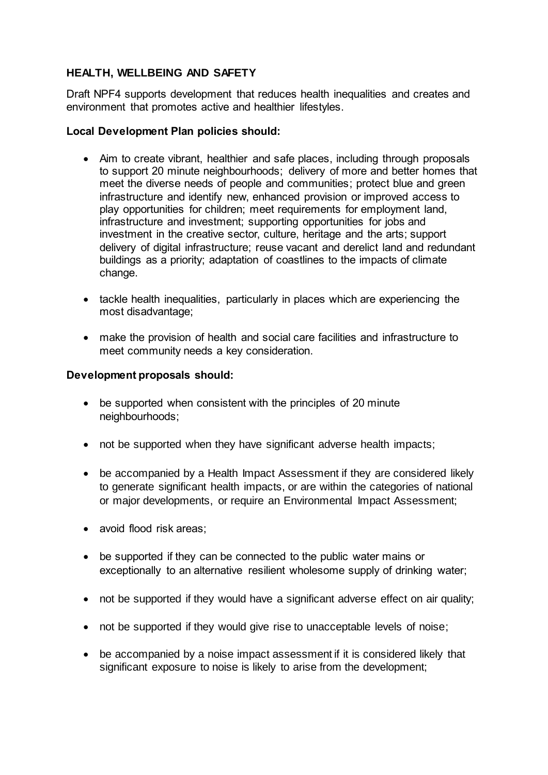# **HEALTH, WELLBEING AND SAFETY**

Draft NPF4 supports development that reduces health inequalities and creates and environment that promotes active and healthier lifestyles.

## **Local Development Plan policies should:**

- Aim to create vibrant, healthier and safe places, including through proposals to support 20 minute neighbourhoods; delivery of more and better homes that meet the diverse needs of people and communities; protect blue and green infrastructure and identify new, enhanced provision or improved access to play opportunities for children; meet requirements for employment land, infrastructure and investment; supporting opportunities for jobs and investment in the creative sector, culture, heritage and the arts; support delivery of digital infrastructure; reuse vacant and derelict land and redundant buildings as a priority; adaptation of coastlines to the impacts of climate change.
- tackle health inequalities, particularly in places which are experiencing the most disadvantage;
- make the provision of health and social care facilities and infrastructure to meet community needs a key consideration.

# **Development proposals should:**

- be supported when consistent with the principles of 20 minute neighbourhoods;
- not be supported when they have significant adverse health impacts;
- be accompanied by a Health Impact Assessment if they are considered likely to generate significant health impacts, or are within the categories of national or major developments, or require an Environmental Impact Assessment;
- avoid flood risk areas;
- be supported if they can be connected to the public water mains or exceptionally to an alternative resilient wholesome supply of drinking water;
- not be supported if they would have a significant adverse effect on air quality;
- not be supported if they would give rise to unacceptable levels of noise;
- be accompanied by a noise impact assessment if it is considered likely that significant exposure to noise is likely to arise from the development;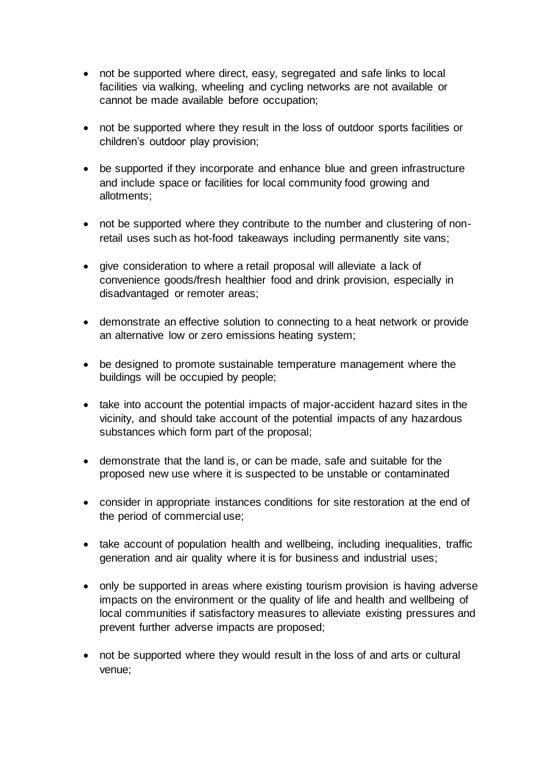- not be supported where direct, easy, segregated and safe links to local facilities via walking, wheeling and cycling networks are not available or cannot be made available before occupation;
- not be supported where they result in the loss of outdoor sports facilities or children's outdoor play provision;
- be supported if they incorporate and enhance blue and green infrastructure and include space or facilities for local community food growing and allotments;
- not be supported where they contribute to the number and clustering of nonretail uses such as hot-food takeaways including permanently site vans;
- give consideration to where a retail proposal will alleviate a lack of convenience goods/fresh healthier food and drink provision, especially in disadvantaged or remoter areas;
- demonstrate an effective solution to connecting to a heat network or provide an alternative low or zero emissions heating system;
- be designed to promote sustainable temperature management where the buildings will be occupied by people;
- take into account the potential impacts of major-accident hazard sites in the vicinity, and should take account of the potential impacts of any hazardous substances which form part of the proposal;
- demonstrate that the land is, or can be made, safe and suitable for the proposed new use where it is suspected to be unstable or contaminated
- consider in appropriate instances conditions for site restoration at the end of the period of commercial use;
- take account of population health and wellbeing, including inequalities, traffic generation and air quality where it is for business and industrial uses;
- only be supported in areas where existing tourism provision is having adverse impacts on the environment or the quality of life and health and wellbeing of local communities if satisfactory measures to alleviate existing pressures and prevent further adverse impacts are proposed;
- not be supported where they would result in the loss of and arts or cultural venue;